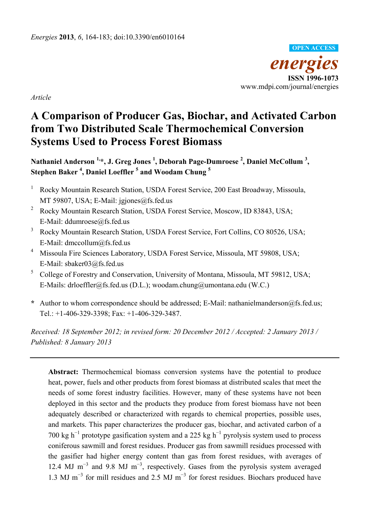

*Article* 

# **A Comparison of Producer Gas, Biochar, and Activated Carbon from Two Distributed Scale Thermochemical Conversion Systems Used to Process Forest Biomass**

Nathaniel Anderson <sup>1,</sup>\*, J. Greg Jones <sup>1</sup>, Deborah Page-Dumroese <sup>2</sup>, Daniel McCollum <sup>3</sup>, **Stephen Baker 4 , Daniel Loeffler 5 and Woodam Chung <sup>5</sup>**

- 1 Rocky Mountain Research Station, USDA Forest Service, 200 East Broadway, Missoula, MT 59807, USA; E-Mail: jgjones@fs.fed.us
- 2 Rocky Mountain Research Station, USDA Forest Service, Moscow, ID 83843, USA; E-Mail: ddumroese@fs.fed.us
- 3 Rocky Mountain Research Station, USDA Forest Service, Fort Collins, CO 80526, USA; E-Mail: dmccollum@fs.fed.us
- 4 Missoula Fire Sciences Laboratory, USDA Forest Service, Missoula, MT 59808, USA; E-Mail: sbaker03@fs.fed.us
- 5 College of Forestry and Conservation, University of Montana, Missoula, MT 59812, USA; E-Mails: drloeffler@fs.fed.us (D.L.); woodam.chung@umontana.edu (W.C.)
- **\*** Author to whom correspondence should be addressed; E-Mail: nathanielmanderson@fs.fed.us; Tel.: +1-406-329-3398; Fax: +1-406-329-3487.

*Received: 18 September 2012; in revised form: 20 December 2012 / Accepted: 2 January 2013 / Published: 8 January 2013* 

**Abstract:** Thermochemical biomass conversion systems have the potential to produce heat, power, fuels and other products from forest biomass at distributed scales that meet the needs of some forest industry facilities. However, many of these systems have not been deployed in this sector and the products they produce from forest biomass have not been adequately described or characterized with regards to chemical properties, possible uses, and markets. This paper characterizes the producer gas, biochar, and activated carbon of a 700 kg h<sup>-1</sup> prototype gasification system and a 225 kg h<sup>-1</sup> pyrolysis system used to process coniferous sawmill and forest residues. Producer gas from sawmill residues processed with the gasifier had higher energy content than gas from forest residues, with averages of 12.4 MJ m<sup>-3</sup> and 9.8 MJ m<sup>-3</sup>, respectively. Gases from the pyrolysis system averaged 1.3 MJ m<sup>-3</sup> for mill residues and 2.5 MJ m<sup>-3</sup> for forest residues. Biochars produced have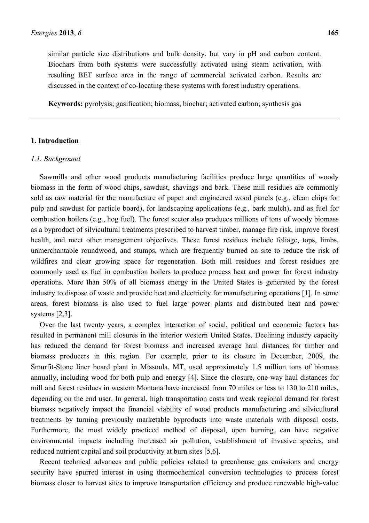similar particle size distributions and bulk density, but vary in pH and carbon content. Biochars from both systems were successfully activated using steam activation, with resulting BET surface area in the range of commercial activated carbon. Results are discussed in the context of co-locating these systems with forest industry operations.

**Keywords:** pyrolysis; gasification; biomass; biochar; activated carbon; synthesis gas

## **1. Introduction**

#### *1.1. Background*

Sawmills and other wood products manufacturing facilities produce large quantities of woody biomass in the form of wood chips, sawdust, shavings and bark. These mill residues are commonly sold as raw material for the manufacture of paper and engineered wood panels (e.g., clean chips for pulp and sawdust for particle board), for landscaping applications (e.g., bark mulch), and as fuel for combustion boilers (e.g., hog fuel). The forest sector also produces millions of tons of woody biomass as a byproduct of silvicultural treatments prescribed to harvest timber, manage fire risk, improve forest health, and meet other management objectives. These forest residues include foliage, tops, limbs, unmerchantable roundwood, and stumps, which are frequently burned on site to reduce the risk of wildfires and clear growing space for regeneration. Both mill residues and forest residues are commonly used as fuel in combustion boilers to produce process heat and power for forest industry operations. More than 50% of all biomass energy in the United States is generated by the forest industry to dispose of waste and provide heat and electricity for manufacturing operations [1]. In some areas, forest biomass is also used to fuel large power plants and distributed heat and power systems [2,3].

Over the last twenty years, a complex interaction of social, political and economic factors has resulted in permanent mill closures in the interior western United States. Declining industry capacity has reduced the demand for forest biomass and increased average haul distances for timber and biomass producers in this region. For example, prior to its closure in December, 2009, the Smurfit-Stone liner board plant in Missoula, MT, used approximately 1.5 million tons of biomass annually, including wood for both pulp and energy [4]. Since the closure, one-way haul distances for mill and forest residues in western Montana have increased from 70 miles or less to 130 to 210 miles, depending on the end user. In general, high transportation costs and weak regional demand for forest biomass negatively impact the financial viability of wood products manufacturing and silvicultural treatments by turning previously marketable byproducts into waste materials with disposal costs. Furthermore, the most widely practiced method of disposal, open burning, can have negative environmental impacts including increased air pollution, establishment of invasive species, and reduced nutrient capital and soil productivity at burn sites [5,6].

Recent technical advances and public policies related to greenhouse gas emissions and energy security have spurred interest in using thermochemical conversion technologies to process forest biomass closer to harvest sites to improve transportation efficiency and produce renewable high-value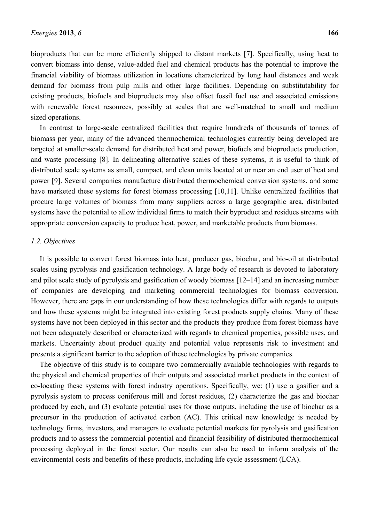bioproducts that can be more efficiently shipped to distant markets [7]. Specifically, using heat to convert biomass into dense, value-added fuel and chemical products has the potential to improve the financial viability of biomass utilization in locations characterized by long haul distances and weak demand for biomass from pulp mills and other large facilities. Depending on substitutability for existing products, biofuels and bioproducts may also offset fossil fuel use and associated emissions with renewable forest resources, possibly at scales that are well-matched to small and medium sized operations.

In contrast to large-scale centralized facilities that require hundreds of thousands of tonnes of biomass per year, many of the advanced thermochemical technologies currently being developed are targeted at smaller-scale demand for distributed heat and power, biofuels and bioproducts production, and waste processing [8]. In delineating alternative scales of these systems, it is useful to think of distributed scale systems as small, compact, and clean units located at or near an end user of heat and power [9]. Several companies manufacture distributed thermochemical conversion systems, and some have marketed these systems for forest biomass processing [10,11]. Unlike centralized facilities that procure large volumes of biomass from many suppliers across a large geographic area, distributed systems have the potential to allow individual firms to match their byproduct and residues streams with appropriate conversion capacity to produce heat, power, and marketable products from biomass.

## *1.2. Objectives*

It is possible to convert forest biomass into heat, producer gas, biochar, and bio-oil at distributed scales using pyrolysis and gasification technology. A large body of research is devoted to laboratory and pilot scale study of pyrolysis and gasification of woody biomass [12–14] and an increasing number of companies are developing and marketing commercial technologies for biomass conversion. However, there are gaps in our understanding of how these technologies differ with regards to outputs and how these systems might be integrated into existing forest products supply chains. Many of these systems have not been deployed in this sector and the products they produce from forest biomass have not been adequately described or characterized with regards to chemical properties, possible uses, and markets. Uncertainty about product quality and potential value represents risk to investment and presents a significant barrier to the adoption of these technologies by private companies.

The objective of this study is to compare two commercially available technologies with regards to the physical and chemical properties of their outputs and associated market products in the context of co-locating these systems with forest industry operations. Specifically, we: (1) use a gasifier and a pyrolysis system to process coniferous mill and forest residues, (2) characterize the gas and biochar produced by each, and (3) evaluate potential uses for those outputs, including the use of biochar as a precursor in the production of activated carbon (AC). This critical new knowledge is needed by technology firms, investors, and managers to evaluate potential markets for pyrolysis and gasification products and to assess the commercial potential and financial feasibility of distributed thermochemical processing deployed in the forest sector. Our results can also be used to inform analysis of the environmental costs and benefits of these products, including life cycle assessment (LCA).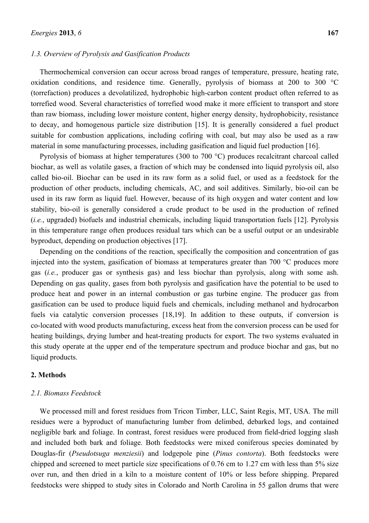#### *1.3. Overview of Pyrolysis and Gasification Products*

Thermochemical conversion can occur across broad ranges of temperature, pressure, heating rate, oxidation conditions, and residence time. Generally, pyrolysis of biomass at 200 to 300 °C (torrefaction) produces a devolatilized, hydrophobic high-carbon content product often referred to as torrefied wood. Several characteristics of torrefied wood make it more efficient to transport and store than raw biomass, including lower moisture content, higher energy density, hydrophobicity, resistance to decay, and homogenous particle size distribution [15]. It is generally considered a fuel product suitable for combustion applications, including cofiring with coal, but may also be used as a raw material in some manufacturing processes, including gasification and liquid fuel production [16].

Pyrolysis of biomass at higher temperatures (300 to 700 °C) produces recalcitrant charcoal called biochar, as well as volatile gases, a fraction of which may be condensed into liquid pyrolysis oil, also called bio-oil. Biochar can be used in its raw form as a solid fuel, or used as a feedstock for the production of other products, including chemicals, AC, and soil additives. Similarly, bio-oil can be used in its raw form as liquid fuel. However, because of its high oxygen and water content and low stability, bio-oil is generally considered a crude product to be used in the production of refined (*i.e.*, upgraded) biofuels and industrial chemicals, including liquid transportation fuels [12]. Pyrolysis in this temperature range often produces residual tars which can be a useful output or an undesirable byproduct, depending on production objectives [17].

Depending on the conditions of the reaction, specifically the composition and concentration of gas injected into the system, gasification of biomass at temperatures greater than 700 °C produces more gas (*i.e.*, producer gas or synthesis gas) and less biochar than pyrolysis, along with some ash. Depending on gas quality, gases from both pyrolysis and gasification have the potential to be used to produce heat and power in an internal combustion or gas turbine engine. The producer gas from gasification can be used to produce liquid fuels and chemicals, including methanol and hydrocarbon fuels via catalytic conversion processes [18,19]. In addition to these outputs, if conversion is co-located with wood products manufacturing, excess heat from the conversion process can be used for heating buildings, drying lumber and heat-treating products for export. The two systems evaluated in this study operate at the upper end of the temperature spectrum and produce biochar and gas, but no liquid products.

#### **2. Methods**

## *2.1. Biomass Feedstock*

We processed mill and forest residues from Tricon Timber, LLC, Saint Regis, MT, USA. The mill residues were a byproduct of manufacturing lumber from delimbed, debarked logs, and contained negligible bark and foliage. In contrast, forest residues were produced from field-dried logging slash and included both bark and foliage. Both feedstocks were mixed coniferous species dominated by Douglas-fir (*Pseudotsuga menziesii*) and lodgepole pine (*Pinus contorta*). Both feedstocks were chipped and screened to meet particle size specifications of 0.76 cm to 1.27 cm with less than 5% size over run, and then dried in a kiln to a moisture content of 10% or less before shipping. Prepared feedstocks were shipped to study sites in Colorado and North Carolina in 55 gallon drums that were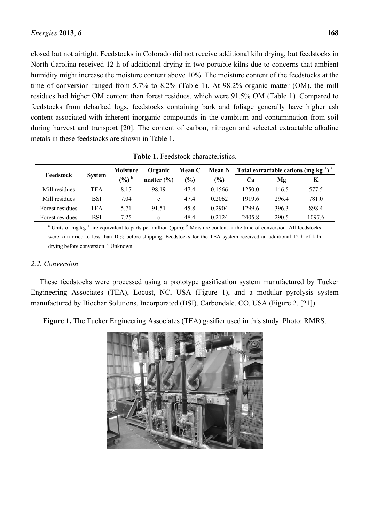closed but not airtight. Feedstocks in Colorado did not receive additional kiln drying, but feedstocks in North Carolina received 12 h of additional drying in two portable kilns due to concerns that ambient humidity might increase the moisture content above 10%. The moisture content of the feedstocks at the time of conversion ranged from 5.7% to 8.2% (Table 1). At 98.2% organic matter (OM), the mill residues had higher OM content than forest residues, which were 91.5% OM (Table 1). Compared to feedstocks from debarked logs, feedstocks containing bark and foliage generally have higher ash content associated with inherent inorganic compounds in the cambium and contamination from soil during harvest and transport [20]. The content of carbon, nitrogen and selected extractable alkaline metals in these feedstocks are shown in Table 1.

| Feedstock       | <b>System</b> | Moisture | Organic        | <b>Mean C</b> | <b>Mean N</b> | Total extractable cations (mg $kg^{-1}$ ) <sup>a</sup> |       |        |  |
|-----------------|---------------|----------|----------------|---------------|---------------|--------------------------------------------------------|-------|--------|--|
|                 |               | $(\%)^b$ | matter $(\% )$ | $\frac{9}{6}$ | (%)           | Ca                                                     | Mg    | K      |  |
| Mill residues   | TEA           | 8.17     | 98.19          | 47.4          | 0.1566        | 1250.0                                                 | 146.5 | 577.5  |  |
| Mill residues   | BSI           | 7.04     | c              | 47.4          | 0.2062        | 1919.6                                                 | 296.4 | 781.0  |  |
| Forest residues | TEA           | 5.71     | 91.51          | 45.8          | 0.2904        | 1299.6                                                 | 396.3 | 898.4  |  |
| Forest residues | BSI           | 7 25     | c              | 48.4          | 0.2124        | 2405.8                                                 | 290.5 | 1097.6 |  |

**Table 1.** Feedstock characteristics.

<sup>a</sup> Units of mg kg<sup>-1</sup> are equivalent to parts per million (ppm); <sup>b</sup> Moisture content at the time of conversion. All feedstocks were kiln dried to less than 10% before shipping. Feedstocks for the TEA system received an additional 12 h of kiln drying before conversion; <sup>c</sup> Unknown.

## *2.2. Conversion*

These feedstocks were processed using a prototype gasification system manufactured by Tucker Engineering Associates (TEA), Locust, NC, USA (Figure 1), and a modular pyrolysis system manufactured by Biochar Solutions, Incorporated (BSI), Carbondale, CO, USA (Figure 2, [21]).

**Figure 1.** The Tucker Engineering Associates (TEA) gasifier used in this study. Photo: RMRS.

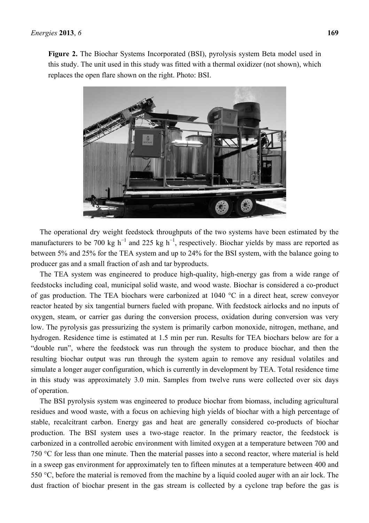

this study. The unit used in this study was fitted with a thermal oxidizer (not shown), which

The operational dry weight feedstock throughputs of the two systems have been estimated by the manufacturers to be 700 kg h<sup>-1</sup> and 225 kg h<sup>-1</sup>, respectively. Biochar yields by mass are reported as between 5% and 25% for the TEA system and up to 24% for the BSI system, with the balance going to producer gas and a small fraction of ash and tar byproducts.

The TEA system was engineered to produce high-quality, high-energy gas from a wide range of feedstocks including coal, municipal solid waste, and wood waste. Biochar is considered a co-product of gas production. The TEA biochars were carbonized at 1040 °C in a direct heat, screw conveyor reactor heated by six tangential burners fueled with propane. With feedstock airlocks and no inputs of oxygen, steam, or carrier gas during the conversion process, oxidation during conversion was very low. The pyrolysis gas pressurizing the system is primarily carbon monoxide, nitrogen, methane, and hydrogen. Residence time is estimated at 1.5 min per run. Results for TEA biochars below are for a "double run", where the feedstock was run through the system to produce biochar, and then the resulting biochar output was run through the system again to remove any residual volatiles and simulate a longer auger configuration, which is currently in development by TEA. Total residence time in this study was approximately 3.0 min. Samples from twelve runs were collected over six days of operation.

The BSI pyrolysis system was engineered to produce biochar from biomass, including agricultural residues and wood waste, with a focus on achieving high yields of biochar with a high percentage of stable, recalcitrant carbon. Energy gas and heat are generally considered co-products of biochar production. The BSI system uses a two-stage reactor. In the primary reactor, the feedstock is carbonized in a controlled aerobic environment with limited oxygen at a temperature between 700 and 750 °C for less than one minute. Then the material passes into a second reactor, where material is held in a sweep gas environment for approximately ten to fifteen minutes at a temperature between 400 and 550 °C, before the material is removed from the machine by a liquid cooled auger with an air lock. The dust fraction of biochar present in the gas stream is collected by a cyclone trap before the gas is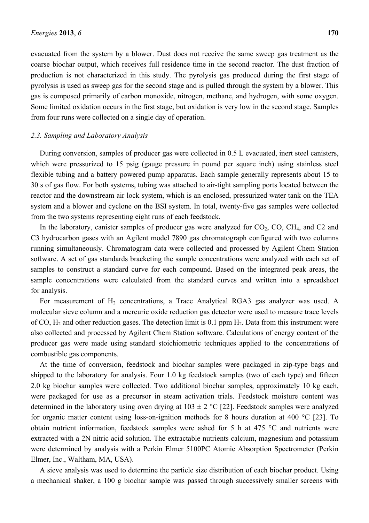evacuated from the system by a blower. Dust does not receive the same sweep gas treatment as the coarse biochar output, which receives full residence time in the second reactor. The dust fraction of production is not characterized in this study. The pyrolysis gas produced during the first stage of pyrolysis is used as sweep gas for the second stage and is pulled through the system by a blower. This gas is composed primarily of carbon monoxide, nitrogen, methane, and hydrogen, with some oxygen. Some limited oxidation occurs in the first stage, but oxidation is very low in the second stage. Samples from four runs were collected on a single day of operation.

#### *2.3. Sampling and Laboratory Analysis*

During conversion, samples of producer gas were collected in 0.5 L evacuated, inert steel canisters, which were pressurized to 15 psig (gauge pressure in pound per square inch) using stainless steel flexible tubing and a battery powered pump apparatus. Each sample generally represents about 15 to 30 s of gas flow. For both systems, tubing was attached to air-tight sampling ports located between the reactor and the downstream air lock system, which is an enclosed, pressurized water tank on the TEA system and a blower and cyclone on the BSI system. In total, twenty-five gas samples were collected from the two systems representing eight runs of each feedstock.

In the laboratory, canister samples of producer gas were analyzed for  $CO<sub>2</sub>$ ,  $CO$ ,  $CH<sub>4</sub>$ , and  $C<sub>2</sub>$  and C3 hydrocarbon gases with an Agilent model 7890 gas chromatograph configured with two columns running simultaneously. Chromatogram data were collected and processed by Agilent Chem Station software. A set of gas standards bracketing the sample concentrations were analyzed with each set of samples to construct a standard curve for each compound. Based on the integrated peak areas, the sample concentrations were calculated from the standard curves and written into a spreadsheet for analysis.

For measurement of  $H_2$  concentrations, a Trace Analytical RGA3 gas analyzer was used. A molecular sieve column and a mercuric oxide reduction gas detector were used to measure trace levels of CO,  $H_2$  and other reduction gases. The detection limit is 0.1 ppm  $H_2$ . Data from this instrument were also collected and processed by Agilent Chem Station software. Calculations of energy content of the producer gas were made using standard stoichiometric techniques applied to the concentrations of combustible gas components.

At the time of conversion, feedstock and biochar samples were packaged in zip-type bags and shipped to the laboratory for analysis. Four 1.0 kg feedstock samples (two of each type) and fifteen 2.0 kg biochar samples were collected. Two additional biochar samples, approximately 10 kg each, were packaged for use as a precursor in steam activation trials. Feedstock moisture content was determined in the laboratory using oven drying at  $103 \pm 2$  °C [22]. Feedstock samples were analyzed for organic matter content using loss-on-ignition methods for 8 hours duration at 400 °C [23]. To obtain nutrient information, feedstock samples were ashed for 5 h at 475 °C and nutrients were extracted with a 2N nitric acid solution. The extractable nutrients calcium, magnesium and potassium were determined by analysis with a Perkin Elmer 5100PC Atomic Absorption Spectrometer (Perkin Elmer, Inc., Waltham, MA, USA).

A sieve analysis was used to determine the particle size distribution of each biochar product. Using a mechanical shaker, a 100 g biochar sample was passed through successively smaller screens with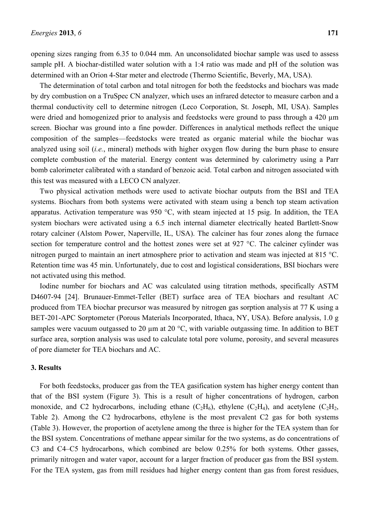opening sizes ranging from 6.35 to 0.044 mm. An unconsolidated biochar sample was used to assess sample pH. A biochar-distilled water solution with a 1:4 ratio was made and pH of the solution was determined with an Orion 4-Star meter and electrode (Thermo Scientific, Beverly, MA, USA).

The determination of total carbon and total nitrogen for both the feedstocks and biochars was made by dry combustion on a TruSpec CN analyzer, which uses an infrared detector to measure carbon and a thermal conductivity cell to determine nitrogen (Leco Corporation, St. Joseph, MI, USA). Samples were dried and homogenized prior to analysis and feedstocks were ground to pass through a 420  $\mu$ m screen. Biochar was ground into a fine powder. Differences in analytical methods reflect the unique composition of the samples—feedstocks were treated as organic material while the biochar was analyzed using soil (*i.e.*, mineral) methods with higher oxygen flow during the burn phase to ensure complete combustion of the material. Energy content was determined by calorimetry using a Parr bomb calorimeter calibrated with a standard of benzoic acid. Total carbon and nitrogen associated with this test was measured with a LECO CN analyzer.

Two physical activation methods were used to activate biochar outputs from the BSI and TEA systems. Biochars from both systems were activated with steam using a bench top steam activation apparatus. Activation temperature was 950 °C, with steam injected at 15 psig. In addition, the TEA system biochars were activated using a 6.5 inch internal diameter electrically heated Bartlett-Snow rotary calciner (Alstom Power, Naperville, IL, USA). The calciner has four zones along the furnace section for temperature control and the hottest zones were set at 927 °C. The calciner cylinder was nitrogen purged to maintain an inert atmosphere prior to activation and steam was injected at 815 °C. Retention time was 45 min. Unfortunately, due to cost and logistical considerations, BSI biochars were not activated using this method.

Iodine number for biochars and AC was calculated using titration methods, specifically ASTM D4607-94 [24]. Brunauer-Emmet-Teller (BET) surface area of TEA biochars and resultant AC produced from TEA biochar precursor was measured by nitrogen gas sorption analysis at 77 K using a BET-201-APC Sorptometer (Porous Materials Incorporated, Ithaca, NY, USA). Before analysis, 1.0 g samples were vacuum outgassed to 20  $\mu$ m at 20 °C, with variable outgassing time. In addition to BET surface area, sorption analysis was used to calculate total pore volume, porosity, and several measures of pore diameter for TEA biochars and AC.

## **3. Results**

For both feedstocks, producer gas from the TEA gasification system has higher energy content than that of the BSI system (Figure 3). This is a result of higher concentrations of hydrogen, carbon monoxide, and C2 hydrocarbons, including ethane  $(C_2H_6)$ , ethylene  $(C_2H_4)$ , and acetylene  $(C_2H_2)$ , Table 2). Among the C2 hydrocarbons, ethylene is the most prevalent C2 gas for both systems (Table 3). However, the proportion of acetylene among the three is higher for the TEA system than for the BSI system. Concentrations of methane appear similar for the two systems, as do concentrations of C3 and C4–C5 hydrocarbons, which combined are below 0.25% for both systems. Other gasses, primarily nitrogen and water vapor, account for a larger fraction of producer gas from the BSI system. For the TEA system, gas from mill residues had higher energy content than gas from forest residues,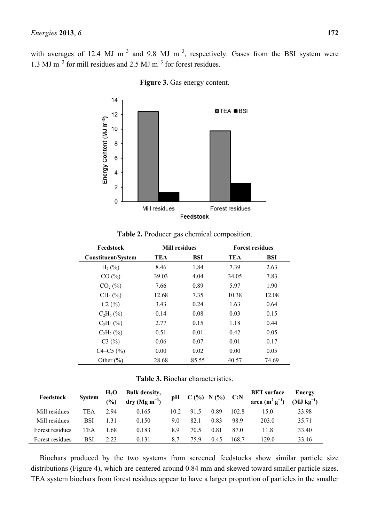with averages of 12.4 MJ m<sup>-3</sup> and 9.8 MJ m<sup>-3</sup>, respectively. Gases from the BSI system were 1.3 MJ m<sup>−</sup><sup>3</sup> for mill residues and 2.5 MJ m<sup>−</sup><sup>3</sup> for forest residues.



**Figure 3.** Gas energy content.

| Feedstock                 |       | <b>Mill residues</b> |       | <b>Forest residues</b> |
|---------------------------|-------|----------------------|-------|------------------------|
| <b>Constituent/System</b> | TEA   | BSI                  | TEA   | BSI                    |
| $H_2(%)$                  | 8.46  | 1.84                 | 7.39  | 2.63                   |
| CO(%)                     | 39.03 | 4.04                 | 34.05 | 7.83                   |
| $CO2(\%)$                 | 7.66  | 0.89                 | 5.97  | 1.90                   |
| $CH_4(\%)$                | 12.68 | 7.35                 | 10.38 | 12.08                  |
| C2(%)                     | 3.43  | 0.24                 | 1.63  | 0.64                   |
| $C_2H_6(%)$               | 0.14  | 0.08                 | 0.03  | 0.15                   |
| $C_2H_4(%)$               | 2.77  | 0.15                 | 1.18  | 0.44                   |
| $C_2H_2(%)$               | 0.51  | 0.01                 | 0.42  | 0.05                   |
| C3(%)                     | 0.06  | 0.07                 | 0.01  | 0.17                   |
| $C4 - C5$ (%)             | 0.00  | 0.02                 | 0.00  | 0.05                   |
| Other $(\% )$             | 28.68 | 85.55                | 40.57 | 74.69                  |

**Table 2.** Producer gas chemical composition.

**Table 3.** Biochar characteristics.

| Feedstock       | <b>System</b> | H <sub>2</sub> O<br>$\frac{1}{2}$ | <b>Bulk density,</b><br>$\text{dry} \left( \text{Mg m}^{-3} \right)$ | рH   | $C($ % | N(%) | C: N  | <b>BET</b> surface<br>area $(m^2 g^{-1})$ | Energy<br>$(MJ kg^{-1})$ |
|-----------------|---------------|-----------------------------------|----------------------------------------------------------------------|------|--------|------|-------|-------------------------------------------|--------------------------|
| Mill residues   | TEA           | 294                               | 0.165                                                                | 10 2 | 915    | 0.89 | 102.8 | 15.0                                      | 33.98                    |
| Mill residues   | BSI           | 1.31                              | 0.150                                                                | 9.0  | 82.1   | 0.83 | 98.9  | 203.0                                     | 35.71                    |
| Forest residues | TEA           | ⊟68                               | 0.183                                                                | 8.9  | 70.5   | 0.81 | 87.0  | 11.8                                      | 33.40                    |
| Forest residues | BSI           | 2.23                              | 0.131                                                                | 8.7  | 75.9   | 0.45 | 168.7 | 129.0                                     | 33.46                    |

Biochars produced by the two systems from screened feedstocks show similar particle size distributions (Figure 4), which are centered around 0.84 mm and skewed toward smaller particle sizes. TEA system biochars from forest residues appear to have a larger proportion of particles in the smaller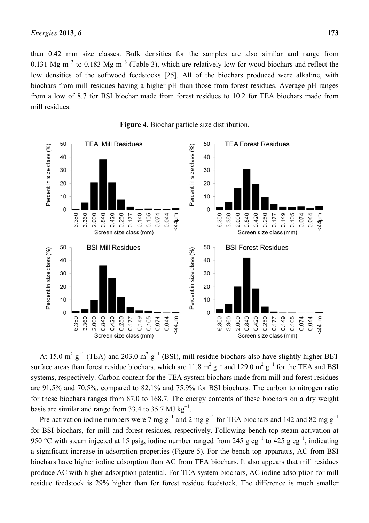than 0.42 mm size classes. Bulk densities for the samples are also similar and range from 0.131 Mg m<sup>-3</sup> to 0.183 Mg m<sup>-3</sup> (Table 3), which are relatively low for wood biochars and reflect the low densities of the softwood feedstocks [25]. All of the biochars produced were alkaline, with biochars from mill residues having a higher pH than those from forest residues. Average pH ranges from a low of 8.7 for BSI biochar made from forest residues to 10.2 for TEA biochars made from mill residues.



**Figure 4.** Biochar particle size distribution.

At 15.0 m<sup>2</sup>  $g^{-1}$  (TEA) and 203.0 m<sup>2</sup>  $g^{-1}$  (BSI), mill residue biochars also have slightly higher BET surface areas than forest residue biochars, which are 11.8  $m^2 g^{-1}$  and 129.0  $m^2 g^{-1}$  for the TEA and BSI systems, respectively. Carbon content for the TEA system biochars made from mill and forest residues are 91.5% and 70.5%, compared to 82.1% and 75.9% for BSI biochars. The carbon to nitrogen ratio for these biochars ranges from 87.0 to 168.7. The energy contents of these biochars on a dry weight basis are similar and range from 33.4 to 35.7 MJ  $\text{kg}^{-1}$ .

Pre-activation iodine numbers were 7 mg g<sup>-1</sup> and 2 mg g<sup>-1</sup> for TEA biochars and 142 and 82 mg g<sup>-1</sup> for BSI biochars, for mill and forest residues, respectively. Following bench top steam activation at 950 °C with steam injected at 15 psig, iodine number ranged from 245 g cg<sup>-1</sup> to 425 g cg<sup>-1</sup>, indicating a significant increase in adsorption properties (Figure 5). For the bench top apparatus, AC from BSI biochars have higher iodine adsorption than AC from TEA biochars. It also appears that mill residues produce AC with higher adsorption potential. For TEA system biochars, AC iodine adsorption for mill residue feedstock is 29% higher than for forest residue feedstock. The difference is much smaller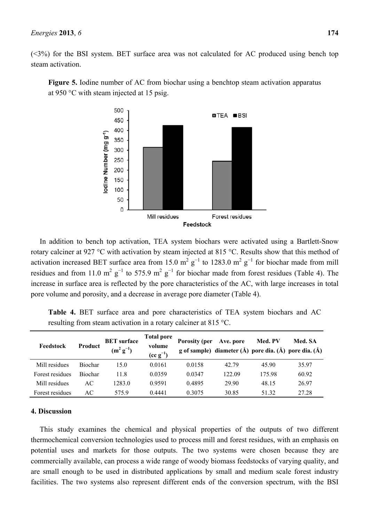$(\leq 3\%)$  for the BSI system. BET surface area was not calculated for AC produced using bench top steam activation.



**Figure 5.** Iodine number of AC from biochar using a benchtop steam activation apparatus at 950 °C with steam injected at 15 psig.

In addition to bench top activation, TEA system biochars were activated using a Bartlett-Snow rotary calciner at 927 °C with activation by steam injected at 815 °C. Results show that this method of activation increased BET surface area from 15.0 m<sup>2</sup> g<sup>-1</sup> to 1283.0 m<sup>2</sup> g<sup>-1</sup> for biochar made from mill residues and from 11.0 m<sup>2</sup> g<sup>-1</sup> to 575.9 m<sup>2</sup> g<sup>-1</sup> for biochar made from forest residues (Table 4). The increase in surface area is reflected by the pore characteristics of the AC, with large increases in total pore volume and porosity, and a decrease in average pore diameter (Table 4).

|                                                                           |  | Table 4. BET surface area and pore characteristics of TEA system biochars and AC |  |  |  |
|---------------------------------------------------------------------------|--|----------------------------------------------------------------------------------|--|--|--|
| resulting from steam activation in a rotary calciner at 815 $^{\circ}$ C. |  |                                                                                  |  |  |  |

| Feedstock       | Product        | <b>BET</b> surface<br>$(m^2 g^{-1})$ | <b>Total pore</b><br>volume<br>$(cc g^{-1})$ | <b>Porosity (per</b> | Ave. pore | Med. PV | Med. SA<br>g of sample) diameter (Å) pore dia. (Å) pore dia. (Å) |
|-----------------|----------------|--------------------------------------|----------------------------------------------|----------------------|-----------|---------|------------------------------------------------------------------|
| Mill residues   | <b>Biochar</b> | 15.0                                 | 0.0161                                       | 0.0158               | 42.79     | 45.90   | 35.97                                                            |
| Forest residues | <b>Biochar</b> | 11.8                                 | 0.0359                                       | 0.0347               | 122.09    | 17598   | 60.92                                                            |
| Mill residues   | АC             | 1283.0                               | 0.9591                                       | 0.4895               | 29.90     | 48.15   | 26.97                                                            |
| Forest residues | АC             | 5759                                 | 0.4441                                       | 0 3075               | 30.85     | 51 32   | 27 28                                                            |

## **4. Discussion**

This study examines the chemical and physical properties of the outputs of two different thermochemical conversion technologies used to process mill and forest residues, with an emphasis on potential uses and markets for those outputs. The two systems were chosen because they are commercially available, can process a wide range of woody biomass feedstocks of varying quality, and are small enough to be used in distributed applications by small and medium scale forest industry facilities. The two systems also represent different ends of the conversion spectrum, with the BSI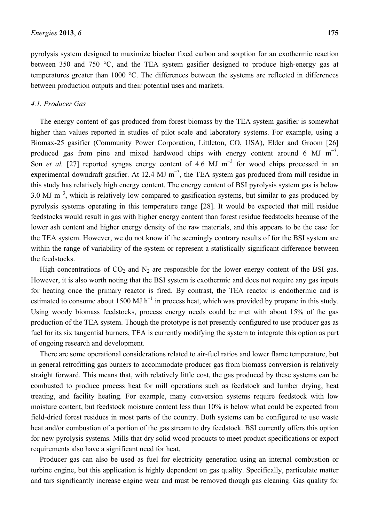pyrolysis system designed to maximize biochar fixed carbon and sorption for an exothermic reaction between 350 and 750 °C, and the TEA system gasifier designed to produce high-energy gas at temperatures greater than 1000 °C. The differences between the systems are reflected in differences between production outputs and their potential uses and markets.

#### *4.1. Producer Gas*

The energy content of gas produced from forest biomass by the TEA system gasifier is somewhat higher than values reported in studies of pilot scale and laboratory systems. For example, using a Biomax-25 gasifier (Community Power Corporation, Littleton, CO, USA), Elder and Groom [26] produced gas from pine and mixed hardwood chips with energy content around 6 MJ  $m^{-3}$ . Son *et al.* [27] reported syngas energy content of 4.6 MJ m<sup>-3</sup> for wood chips processed in an experimental downdraft gasifier. At 12.4 MJ m<sup>-3</sup>, the TEA system gas produced from mill residue in this study has relatively high energy content. The energy content of BSI pyrolysis system gas is below 3.0 MJ m<sup>-3</sup>, which is relatively low compared to gasification systems, but similar to gas produced by pyrolysis systems operating in this temperature range [28]. It would be expected that mill residue feedstocks would result in gas with higher energy content than forest residue feedstocks because of the lower ash content and higher energy density of the raw materials, and this appears to be the case for the TEA system. However, we do not know if the seemingly contrary results of for the BSI system are within the range of variability of the system or represent a statistically significant difference between the feedstocks.

High concentrations of  $CO<sub>2</sub>$  and N<sub>2</sub> are responsible for the lower energy content of the BSI gas. However, it is also worth noting that the BSI system is exothermic and does not require any gas inputs for heating once the primary reactor is fired. By contrast, the TEA reactor is endothermic and is estimated to consume about 1500 MJ h<sup>-1</sup> in process heat, which was provided by propane in this study. Using woody biomass feedstocks, process energy needs could be met with about 15% of the gas production of the TEA system. Though the prototype is not presently configured to use producer gas as fuel for its six tangential burners, TEA is currently modifying the system to integrate this option as part of ongoing research and development.

There are some operational considerations related to air-fuel ratios and lower flame temperature, but in general retrofitting gas burners to accommodate producer gas from biomass conversion is relatively straight forward. This means that, with relatively little cost, the gas produced by these systems can be combusted to produce process heat for mill operations such as feedstock and lumber drying, heat treating, and facility heating. For example, many conversion systems require feedstock with low moisture content, but feedstock moisture content less than 10% is below what could be expected from field-dried forest residues in most parts of the country. Both systems can be configured to use waste heat and/or combustion of a portion of the gas stream to dry feedstock. BSI currently offers this option for new pyrolysis systems. Mills that dry solid wood products to meet product specifications or export requirements also have a significant need for heat.

Producer gas can also be used as fuel for electricity generation using an internal combustion or turbine engine, but this application is highly dependent on gas quality. Specifically, particulate matter and tars significantly increase engine wear and must be removed though gas cleaning. Gas quality for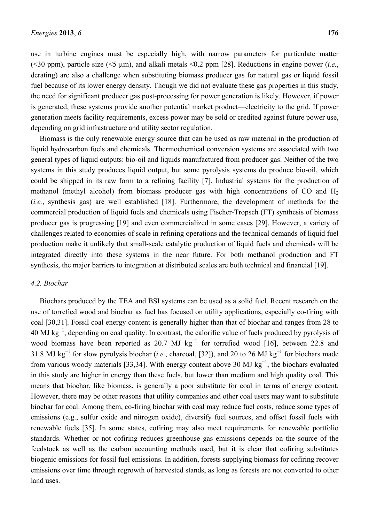use in turbine engines must be especially high, with narrow parameters for particulate matter (<30 ppm), particle size (<5 µm), and alkali metals <0.2 ppm [28]. Reductions in engine power (*i.e.*, derating) are also a challenge when substituting biomass producer gas for natural gas or liquid fossil fuel because of its lower energy density. Though we did not evaluate these gas properties in this study, the need for significant producer gas post-processing for power generation is likely. However, if power is generated, these systems provide another potential market product—electricity to the grid. If power generation meets facility requirements, excess power may be sold or credited against future power use, depending on grid infrastructure and utility sector regulation.

Biomass is the only renewable energy source that can be used as raw material in the production of liquid hydrocarbon fuels and chemicals. Thermochemical conversion systems are associated with two general types of liquid outputs: bio-oil and liquids manufactured from producer gas. Neither of the two systems in this study produces liquid output, but some pyrolysis systems do produce bio-oil, which could be shipped in its raw form to a refining facility [7]. Industrial systems for the production of methanol (methyl alcohol) from biomass producer gas with high concentrations of CO and  $H_2$ (*i.e.*, synthesis gas) are well established [18]. Furthermore, the development of methods for the commercial production of liquid fuels and chemicals using Fischer-Tropsch (FT) synthesis of biomass producer gas is progressing [19] and even commercialized in some cases [29]. However, a variety of challenges related to economies of scale in refining operations and the technical demands of liquid fuel production make it unlikely that small-scale catalytic production of liquid fuels and chemicals will be integrated directly into these systems in the near future. For both methanol production and FT synthesis, the major barriers to integration at distributed scales are both technical and financial [19].

## *4.2. Biochar*

Biochars produced by the TEA and BSI systems can be used as a solid fuel. Recent research on the use of torrefied wood and biochar as fuel has focused on utility applications, especially co-firing with coal [30,31]. Fossil coal energy content is generally higher than that of biochar and ranges from 28 to 40 MJ kg<sup>-1</sup>, depending on coal quality. In contrast, the calorific value of fuels produced by pyrolysis of wood biomass have been reported as 20.7 MJ  $kg^{-1}$  for torrefied wood [16], between 22.8 and 31.8 MJ kg<sup>-1</sup> for slow pyrolysis biochar (*i.e.*, charcoal, [32]), and 20 to 26 MJ kg<sup>-1</sup> for biochars made from various woody materials [33,34]. With energy content above 30 MJ  $\text{kg}^{-1}$ , the biochars evaluated in this study are higher in energy than these fuels, but lower than medium and high quality coal. This means that biochar, like biomass, is generally a poor substitute for coal in terms of energy content. However, there may be other reasons that utility companies and other coal users may want to substitute biochar for coal. Among them, co-firing biochar with coal may reduce fuel costs, reduce some types of emissions (e.g., sulfur oxide and nitrogen oxide), diversify fuel sources, and offset fossil fuels with renewable fuels [35]. In some states, cofiring may also meet requirements for renewable portfolio standards. Whether or not cofiring reduces greenhouse gas emissions depends on the source of the feedstock as well as the carbon accounting methods used, but it is clear that cofiring substitutes biogenic emissions for fossil fuel emissions. In addition, forests supplying biomass for cofiring recover emissions over time through regrowth of harvested stands, as long as forests are not converted to other land uses.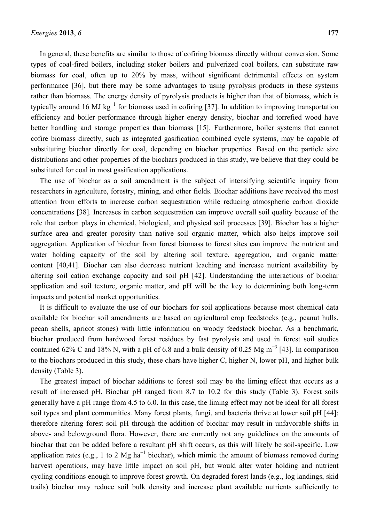In general, these benefits are similar to those of cofiring biomass directly without conversion. Some types of coal-fired boilers, including stoker boilers and pulverized coal boilers, can substitute raw biomass for coal, often up to 20% by mass, without significant detrimental effects on system performance [36], but there may be some advantages to using pyrolysis products in these systems rather than biomass. The energy density of pyrolysis products is higher than that of biomass, which is typically around 16 MJ kg<sup>-1</sup> for biomass used in cofiring [37]. In addition to improving transportation efficiency and boiler performance through higher energy density, biochar and torrefied wood have better handling and storage properties than biomass [15]. Furthermore, boiler systems that cannot cofire biomass directly, such as integrated gasification combined cycle systems, may be capable of substituting biochar directly for coal, depending on biochar properties. Based on the particle size distributions and other properties of the biochars produced in this study, we believe that they could be substituted for coal in most gasification applications.

The use of biochar as a soil amendment is the subject of intensifying scientific inquiry from researchers in agriculture, forestry, mining, and other fields. Biochar additions have received the most attention from efforts to increase carbon sequestration while reducing atmospheric carbon dioxide concentrations [38]. Increases in carbon sequestration can improve overall soil quality because of the role that carbon plays in chemical, biological, and physical soil processes [39]. Biochar has a higher surface area and greater porosity than native soil organic matter, which also helps improve soil aggregation. Application of biochar from forest biomass to forest sites can improve the nutrient and water holding capacity of the soil by altering soil texture, aggregation, and organic matter content [40,41]. Biochar can also decrease nutrient leaching and increase nutrient availability by altering soil cation exchange capacity and soil pH [42]. Understanding the interactions of biochar application and soil texture, organic matter, and pH will be the key to determining both long-term impacts and potential market opportunities.

It is difficult to evaluate the use of our biochars for soil applications because most chemical data available for biochar soil amendments are based on agricultural crop feedstocks (e.g., peanut hulls, pecan shells, apricot stones) with little information on woody feedstock biochar. As a benchmark, biochar produced from hardwood forest residues by fast pyrolysis and used in forest soil studies contained 62% C and 18% N, with a pH of 6.8 and a bulk density of 0.25 Mg  $m^{-3}$  [43]. In comparison to the biochars produced in this study, these chars have higher C, higher N, lower pH, and higher bulk density (Table 3).

The greatest impact of biochar additions to forest soil may be the liming effect that occurs as a result of increased pH. Biochar pH ranged from 8.7 to 10.2 for this study (Table 3). Forest soils generally have a pH range from 4.5 to 6.0. In this case, the liming effect may not be ideal for all forest soil types and plant communities. Many forest plants, fungi, and bacteria thrive at lower soil pH [44]; therefore altering forest soil pH through the addition of biochar may result in unfavorable shifts in above- and belowground flora. However, there are currently not any guidelines on the amounts of biochar that can be added before a resultant pH shift occurs, as this will likely be soil-specific. Low application rates (e.g., 1 to 2 Mg ha<sup>-1</sup> biochar), which mimic the amount of biomass removed during harvest operations, may have little impact on soil pH, but would alter water holding and nutrient cycling conditions enough to improve forest growth. On degraded forest lands (e.g., log landings, skid trails) biochar may reduce soil bulk density and increase plant available nutrients sufficiently to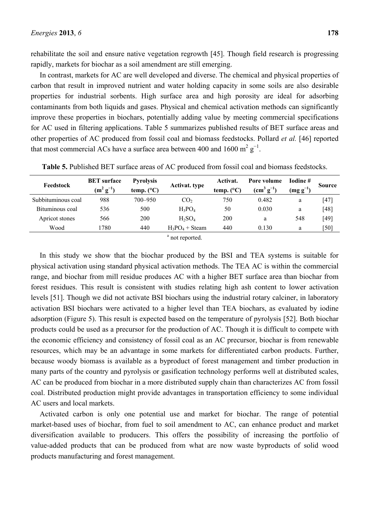rehabilitate the soil and ensure native vegetation regrowth [45]. Though field research is progressing rapidly, markets for biochar as a soil amendment are still emerging.

In contrast, markets for AC are well developed and diverse. The chemical and physical properties of carbon that result in improved nutrient and water holding capacity in some soils are also desirable properties for industrial sorbents. High surface area and high porosity are ideal for adsorbing contaminants from both liquids and gases. Physical and chemical activation methods can significantly improve these properties in biochars, potentially adding value by meeting commercial specifications for AC used in filtering applications. Table 5 summarizes published results of BET surface areas and other properties of AC produced from fossil coal and biomass feedstocks. Pollard *et al.* [46] reported that most commercial ACs have a surface area between 400 and 1600 m<sup>2</sup>  $g^{-1}$ .

| Feedstock          | <b>BET</b> surface<br>$(m^2 g^{-1})$ | <b>Pyrolysis</b><br>temp. $(^{\circ}C)$ | <b>Activat.</b> type | Activat.<br>temp. $(^{\circ}C)$ | Pore volume<br>$(cm3 g-1)$ | Todine#<br>$\left(\text{mg g}^{-1}\right)$ | <b>Source</b> |
|--------------------|--------------------------------------|-----------------------------------------|----------------------|---------------------------------|----------------------------|--------------------------------------------|---------------|
| Subbituminous coal | 988                                  | 700-950                                 | CO <sub>2</sub>      | 750                             | 0.482                      | a                                          | $[47]$        |
| Bituminous coal    | 536                                  | 500                                     | $H_3PO_4$            | 50                              | 0.030                      | a                                          | [48]          |
| Apricot stones     | 566                                  | 200                                     | $H_2SO_4$            | 200                             | a                          | 548                                        | [49]          |
| Wood               | 1780                                 | 440                                     | $H_3PO_4 + Steam$    | 440                             | 0.130                      | a                                          | [50]          |
|                    |                                      |                                         |                      |                                 |                            |                                            |               |

**Table 5.** Published BET surface areas of AC produced from fossil coal and biomass feedstocks.

<sup>a</sup> not reported.

In this study we show that the biochar produced by the BSI and TEA systems is suitable for physical activation using standard physical activation methods. The TEA AC is within the commercial range, and biochar from mill residue produces AC with a higher BET surface area than biochar from forest residues. This result is consistent with studies relating high ash content to lower activation levels [51]. Though we did not activate BSI biochars using the industrial rotary calciner, in laboratory activation BSI biochars were activated to a higher level than TEA biochars, as evaluated by iodine adsorption (Figure 5). This result is expected based on the temperature of pyrolysis [52]. Both biochar products could be used as a precursor for the production of AC. Though it is difficult to compete with the economic efficiency and consistency of fossil coal as an AC precursor, biochar is from renewable resources, which may be an advantage in some markets for differentiated carbon products. Further, because woody biomass is available as a byproduct of forest management and timber production in many parts of the country and pyrolysis or gasification technology performs well at distributed scales, AC can be produced from biochar in a more distributed supply chain than characterizes AC from fossil coal. Distributed production might provide advantages in transportation efficiency to some individual AC users and local markets.

Activated carbon is only one potential use and market for biochar. The range of potential market-based uses of biochar, from fuel to soil amendment to AC, can enhance product and market diversification available to producers. This offers the possibility of increasing the portfolio of value-added products that can be produced from what are now waste byproducts of solid wood products manufacturing and forest management.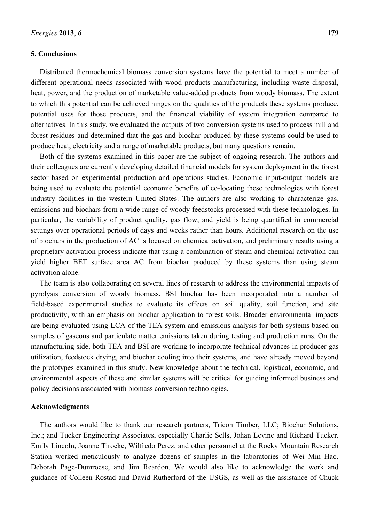## **5. Conclusions**

Distributed thermochemical biomass conversion systems have the potential to meet a number of different operational needs associated with wood products manufacturing, including waste disposal, heat, power, and the production of marketable value-added products from woody biomass. The extent to which this potential can be achieved hinges on the qualities of the products these systems produce, potential uses for those products, and the financial viability of system integration compared to alternatives. In this study, we evaluated the outputs of two conversion systems used to process mill and forest residues and determined that the gas and biochar produced by these systems could be used to produce heat, electricity and a range of marketable products, but many questions remain.

Both of the systems examined in this paper are the subject of ongoing research. The authors and their colleagues are currently developing detailed financial models for system deployment in the forest sector based on experimental production and operations studies. Economic input-output models are being used to evaluate the potential economic benefits of co-locating these technologies with forest industry facilities in the western United States. The authors are also working to characterize gas, emissions and biochars from a wide range of woody feedstocks processed with these technologies. In particular, the variability of product quality, gas flow, and yield is being quantified in commercial settings over operational periods of days and weeks rather than hours. Additional research on the use of biochars in the production of AC is focused on chemical activation, and preliminary results using a proprietary activation process indicate that using a combination of steam and chemical activation can yield higher BET surface area AC from biochar produced by these systems than using steam activation alone.

The team is also collaborating on several lines of research to address the environmental impacts of pyrolysis conversion of woody biomass. BSI biochar has been incorporated into a number of field-based experimental studies to evaluate its effects on soil quality, soil function, and site productivity, with an emphasis on biochar application to forest soils. Broader environmental impacts are being evaluated using LCA of the TEA system and emissions analysis for both systems based on samples of gaseous and particulate matter emissions taken during testing and production runs. On the manufacturing side, both TEA and BSI are working to incorporate technical advances in producer gas utilization, feedstock drying, and biochar cooling into their systems, and have already moved beyond the prototypes examined in this study. New knowledge about the technical, logistical, economic, and environmental aspects of these and similar systems will be critical for guiding informed business and policy decisions associated with biomass conversion technologies.

#### **Acknowledgments**

The authors would like to thank our research partners, Tricon Timber, LLC; Biochar Solutions, Inc.; and Tucker Engineering Associates, especially Charlie Sells, Johan Levine and Richard Tucker. Emily Lincoln, Joanne Tirocke, Wilfredo Perez, and other personnel at the Rocky Mountain Research Station worked meticulously to analyze dozens of samples in the laboratories of Wei Min Hao, Deborah Page-Dumroese, and Jim Reardon. We would also like to acknowledge the work and guidance of Colleen Rostad and David Rutherford of the USGS, as well as the assistance of Chuck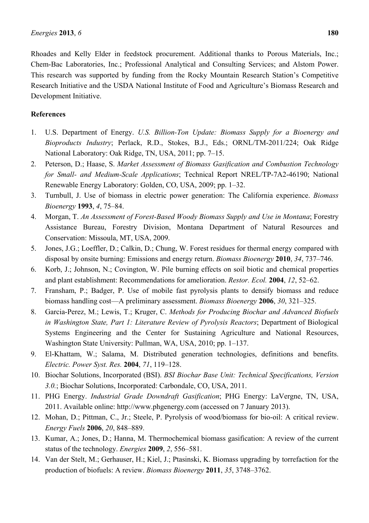Rhoades and Kelly Elder in feedstock procurement. Additional thanks to Porous Materials, Inc.; Chem-Bac Laboratories, Inc.; Professional Analytical and Consulting Services; and Alstom Power. This research was supported by funding from the Rocky Mountain Research Station's Competitive Research Initiative and the USDA National Institute of Food and Agriculture's Biomass Research and Development Initiative.

## **References**

- 1. U.S. Department of Energy. *U.S. Billion-Ton Update: Biomass Supply for a Bioenergy and Bioproducts Industry*; Perlack, R.D., Stokes, B.J., Eds.; ORNL/TM-2011/224; Oak Ridge National Laboratory: Oak Ridge, TN, USA, 2011; pp. 7–15.
- 2. Peterson, D.; Haase, S. *Market Assessment of Biomass Gasification and Combustion Technology for Small- and Medium-Scale Applications*; Technical Report NREL/TP-7A2-46190; National Renewable Energy Laboratory: Golden, CO, USA, 2009; pp. 1–32.
- 3. Turnbull, J. Use of biomass in electric power generation: The California experience. *Biomass Bioenergy* **1993**, *4*, 75–84.
- 4. Morgan, T. *An Assessment of Forest-Based Woody Biomass Supply and Use in Montana*; Forestry Assistance Bureau, Forestry Division, Montana Department of Natural Resources and Conservation: Missoula, MT, USA, 2009.
- 5. Jones, J.G.; Loeffler, D.; Calkin, D.; Chung, W. Forest residues for thermal energy compared with disposal by onsite burning: Emissions and energy return. *Biomass Bioenergy* **2010**, *34*, 737–746.
- 6. Korb, J.; Johnson, N.; Covington, W. Pile burning effects on soil biotic and chemical properties and plant establishment: Recommendations for amelioration. *Restor. Ecol.* **2004**, *12*, 52–62.
- 7. Fransham, P.; Badger, P. Use of mobile fast pyrolysis plants to densify biomass and reduce biomass handling cost—A preliminary assessment. *Biomass Bioenergy* **2006**, *30*, 321–325.
- 8. Garcia-Perez, M.; Lewis, T.; Kruger, C. *Methods for Producing Biochar and Advanced Biofuels in Washington State, Part 1: Literature Review of Pyrolysis Reactors*; Department of Biological Systems Engineering and the Center for Sustaining Agriculture and National Resources, Washington State University: Pullman, WA, USA, 2010; pp. 1–137.
- 9. El-Khattam, W.; Salama, M. Distributed generation technologies, definitions and benefits. *Electric. Power Syst. Res.* **2004**, *71*, 119–128.
- 10. Biochar Solutions, Incorporated (BSI). *BSI Biochar Base Unit: Technical Specifications, Version 3.0.*; Biochar Solutions, Incorporated: Carbondale, CO, USA, 2011.
- 11. PHG Energy. *Industrial Grade Downdraft Gasification*; PHG Energy: LaVergne, TN, USA, 2011. Available online: http://www.phgenergy.com (accessed on 7 January 2013).
- 12. Mohan, D.; Pittman, C., Jr.; Steele, P. Pyrolysis of wood/biomass for bio-oil: A critical review. *Energy Fuels* **2006**, *20*, 848–889.
- 13. Kumar, A.; Jones, D.; Hanna, M. Thermochemical biomass gasification: A review of the current status of the technology. *Energies* **2009**, *2*, 556–581.
- 14. Van der Stelt, M.; Gerhauser, H.; Kiel, J.; Ptasinski, K. Biomass upgrading by torrefaction for the production of biofuels: A review. *Biomass Bioenergy* **2011**, *35*, 3748–3762.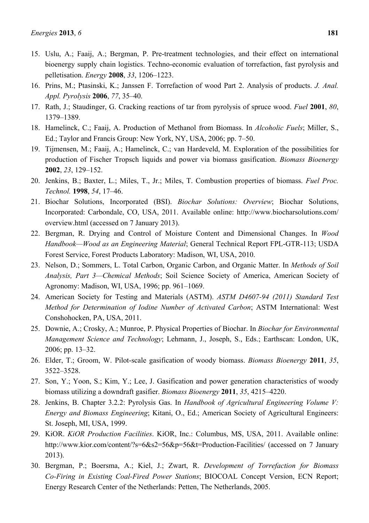- 15. Uslu, A.; Faaij, A.; Bergman, P. Pre-treatment technologies, and their effect on international bioenergy supply chain logistics. Techno-economic evaluation of torrefaction, fast pyrolysis and pelletisation. *Energy* **2008**, *33*, 1206–1223.
- 16. Prins, M.; Ptasinski, K.; Janssen F. Torrefaction of wood Part 2. Analysis of products. *J. Anal. Appl. Pyrolysis* **2006**, *77*, 35–40.
- 17. Rath, J.; Staudinger, G. Cracking reactions of tar from pyrolysis of spruce wood. *Fuel* **2001**, *80*, 1379–1389.
- 18. Hamelinck, C.; Faaij, A. Production of Methanol from Biomass. In *Alcoholic Fuels*; Miller, S., Ed.; Taylor and Francis Group: New York, NY, USA, 2006; pp. 7–50.
- 19. Tijmensen, M.; Faaij, A.; Hamelinck, C.; van Hardeveld, M. Exploration of the possibilities for production of Fischer Tropsch liquids and power via biomass gasification. *Biomass Bioenergy*  **2002**, *23*, 129–152.
- 20. Jenkins, B.; Baxter, L.; Miles, T., Jr.; Miles, T. Combustion properties of biomass. *Fuel Proc. Technol.* **1998**, *54*, 17–46.
- 21. Biochar Solutions, Incorporated (BSI). *Biochar Solutions: Overview*; Biochar Solutions, Incorporated: Carbondale, CO, USA, 2011. Available online: http://www.biocharsolutions.com/ overview.html (accessed on 7 January 2013).
- 22. Bergman, R. Drying and Control of Moisture Content and Dimensional Changes. In *Wood Handbook—Wood as an Engineering Material*; General Technical Report FPL-GTR-113; USDA Forest Service, Forest Products Laboratory: Madison, WI, USA, 2010.
- 23. Nelson, D.; Sommers, L. Total Carbon, Organic Carbon, and Organic Matter. In *Methods of Soil Analysis, Part 3—Chemical Methods*; Soil Science Society of America, American Society of Agronomy: Madison, WI, USA, 1996; pp. 961–1069.
- 24. American Society for Testing and Materials (ASTM). *ASTM D4607-94 (2011) Standard Test Method for Determination of Iodine Number of Activated Carbon*; ASTM International: West Conshohocken, PA, USA, 2011.
- 25. Downie, A.; Crosky, A.; Munroe, P. Physical Properties of Biochar. In *Biochar for Environmental Management Science and Technology*; Lehmann, J., Joseph, S., Eds.; Earthscan: London, UK, 2006; pp. 13–32.
- 26. Elder, T.; Groom, W. Pilot-scale gasification of woody biomass. *Biomass Bioenergy* **2011**, *35*, 3522–3528.
- 27. Son, Y.; Yoon, S.; Kim, Y.; Lee, J. Gasification and power generation characteristics of woody biomass utilizing a downdraft gasifier. *Biomass Bioenergy* **2011**, *35*, 4215–4220.
- 28. Jenkins, B. Chapter 3.2.2: Pyrolysis Gas. In *Handbook of Agricultural Engineering Volume V: Energy and Biomass Engineering*; Kitani, O., Ed.; American Society of Agricultural Engineers: St. Joseph, MI, USA, 1999.
- 29. KiOR. *KiOR Production Facilities*. KiOR, Inc.: Columbus, MS, USA, 2011. Available online: http://www.kior.com/content/?s=6&s2=56&p=56&t=Production-Facilities/ (accessed on 7 January 2013).
- 30. Bergman, P.; Boersma, A.; Kiel, J.; Zwart, R. *Development of Torrefaction for Biomass Co-Firing in Existing Coal-Fired Power Stations*; BIOCOAL Concept Version, ECN Report; Energy Research Center of the Netherlands: Petten, The Netherlands, 2005.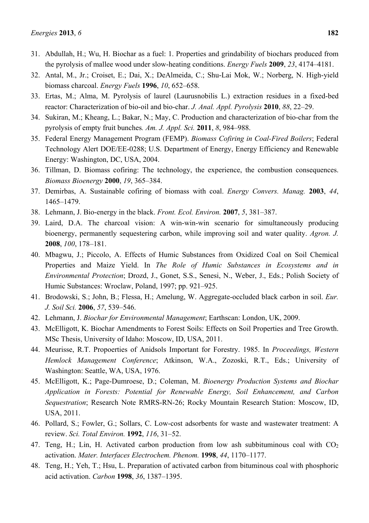- 31. Abdullah, H.; Wu, H. Biochar as a fuel: 1. Properties and grindability of biochars produced from the pyrolysis of mallee wood under slow-heating conditions. *Energy Fuels* **2009**, *23*, 4174–4181.
- 32. Antal, M., Jr.; Croiset, E.; Dai, X.; DeAlmeida, C.; Shu-Lai Mok, W.; Norberg, N. High-yield biomass charcoal. *Energy Fuels* **1996**, *10*, 652–658.
- 33. Ertas, M.; Alma, M. Pyrolysis of laurel (Laurusnobilis L.) extraction residues in a fixed-bed reactor: Characterization of bio-oil and bio-char. *J. Anal. Appl. Pyrolysis* **2010**, *88*, 22–29.
- 34. Sukiran, M.; Kheang, L.; Bakar, N.; May, C. Production and characterization of bio-char from the pyrolysis of empty fruit bunches*. Am. J. Appl. Sci.* **2011**, *8*, 984–988.
- 35. Federal Energy Management Program (FEMP). *Biomass Cofiring in Coal-Fired Boilers*; Federal Technology Alert DOE/EE-0288; U.S. Department of Energy, Energy Efficiency and Renewable Energy: Washington, DC, USA, 2004.
- 36. Tillman, D. Biomass cofiring: The technology, the experience, the combustion consequences. *Biomass Bioenergy* **2000**, *19*, 365–384.
- 37. Demirbas, A. Sustainable cofiring of biomass with coal. *Energy Convers. Manag.* **2003**, *44*, 1465–1479.
- 38. Lehmann, J. Bio-energy in the black. *Front. Ecol. Environ.* **2007**, *5*, 381–387.
- 39. Laird, D.A. The charcoal vision: A win-win-win scenario for simultaneously producing bioenergy, permanently sequestering carbon, while improving soil and water quality. *Agron. J.*  **2008**, *100*, 178–181.
- 40. Mbagwu, J.; Piccolo, A. Effects of Humic Substances from Oxidized Coal on Soil Chemical Properties and Maize Yield. In *The Role of Humic Substances in Ecosystems and in Environmental Protection*; Drozd, J., Gonet, S.S., Senesi, N., Weber, J., Eds.; Polish Society of Humic Substances: Wroclaw, Poland, 1997; pp. 921–925.
- 41. Brodowski, S.; John, B.; Flessa, H.; Amelung, W. Aggregate-occluded black carbon in soil. *Eur. J. Soil Sci.* **2006**, *57*, 539–546.
- 42. Lehmann, J. *Biochar for Environmental Management*; Earthscan: London, UK, 2009.
- 43. McElligott, K. Biochar Amendments to Forest Soils: Effects on Soil Properties and Tree Growth. MSc Thesis, University of Idaho: Moscow, ID, USA, 2011.
- 44. Meurisse, R.T. Propoerties of Anidsols Important for Forestry. 1985. In *Proceedings, Western Hemlock Management Conference*; Atkinson, W.A., Zozoski, R.T., Eds.; University of Washington: Seattle, WA, USA, 1976.
- 45. McElligott, K.; Page-Dumroese, D.; Coleman, M. *Bioenergy Production Systems and Biochar Application in Forests: Potential for Renewable Energy, Soil Enhancement, and Carbon Sequestration*; Research Note RMRS-RN-26; Rocky Mountain Research Station: Moscow, ID, USA, 2011.
- 46. Pollard, S.; Fowler, G.; Sollars, C. Low-cost adsorbents for waste and wastewater treatment: A review. *Sci. Total Environ.* **1992**, *116*, 31–52.
- 47. Teng, H.; Lin, H. Activated carbon production from low ash subbituminous coal with  $CO<sub>2</sub>$ activation. *Mater. Interfaces Electrochem. Phenom.* **1998**, *44*, 1170–1177.
- 48. Teng, H.; Yeh, T.; Hsu, L. Preparation of activated carbon from bituminous coal with phosphoric acid activation. *Carbon* **1998**, *36*, 1387–1395.